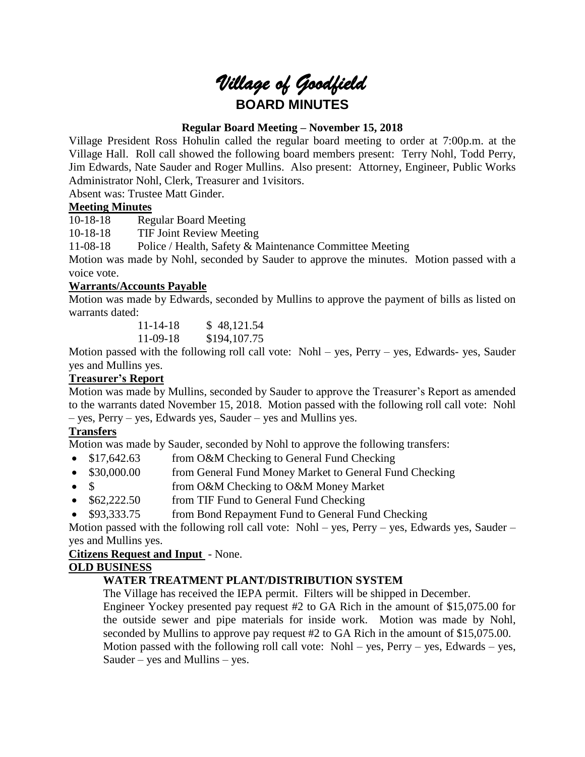# *Village of Goodfield* **BOARD MINUTES**

# **Regular Board Meeting – November 15, 2018**

Village President Ross Hohulin called the regular board meeting to order at 7:00p.m. at the Village Hall. Roll call showed the following board members present: Terry Nohl, Todd Perry, Jim Edwards, Nate Sauder and Roger Mullins. Also present: Attorney, Engineer, Public Works Administrator Nohl, Clerk, Treasurer and 1visitors.

Absent was: Trustee Matt Ginder.

## **Meeting Minutes**

10-18-18 Regular Board Meeting

10-18-18 TIF Joint Review Meeting

11-08-18 Police / Health, Safety & Maintenance Committee Meeting

Motion was made by Nohl, seconded by Sauder to approve the minutes. Motion passed with a voice vote.

## **Warrants/Accounts Payable**

Motion was made by Edwards, seconded by Mullins to approve the payment of bills as listed on warrants dated:

> 11-14-18 \$ 48,121.54 11-09-18 \$194,107.75

Motion passed with the following roll call vote: Nohl – yes, Perry – yes, Edwards- yes, Sauder yes and Mullins yes.

# **Treasurer's Report**

Motion was made by Mullins, seconded by Sauder to approve the Treasurer's Report as amended to the warrants dated November 15, 2018. Motion passed with the following roll call vote: Nohl – yes, Perry – yes, Edwards yes, Sauder – yes and Mullins yes.

# **Transfers**

Motion was made by Sauder, seconded by Nohl to approve the following transfers:

- \$17,642.63 from O&M Checking to General Fund Checking
- \$30,000.00 from General Fund Money Market to General Fund Checking
- \$ from O&M Checking to O&M Money Market
- \$62,222.50 from TIF Fund to General Fund Checking
- \$93,333.75 from Bond Repayment Fund to General Fund Checking

Motion passed with the following roll call vote: Nohl – yes, Perry – yes, Edwards yes, Sauder – yes and Mullins yes.

## **Citizens Request and Input** - None.

## **OLD BUSINESS**

# **WATER TREATMENT PLANT/DISTRIBUTION SYSTEM**

The Village has received the IEPA permit. Filters will be shipped in December.

Engineer Yockey presented pay request #2 to GA Rich in the amount of \$15,075.00 for the outside sewer and pipe materials for inside work. Motion was made by Nohl, seconded by Mullins to approve pay request #2 to GA Rich in the amount of \$15,075.00. Motion passed with the following roll call vote:  $Nohl - yes$ ,  $Perry - yes$ ,  $Edwards - yes$ , Sauder – yes and Mullins – yes.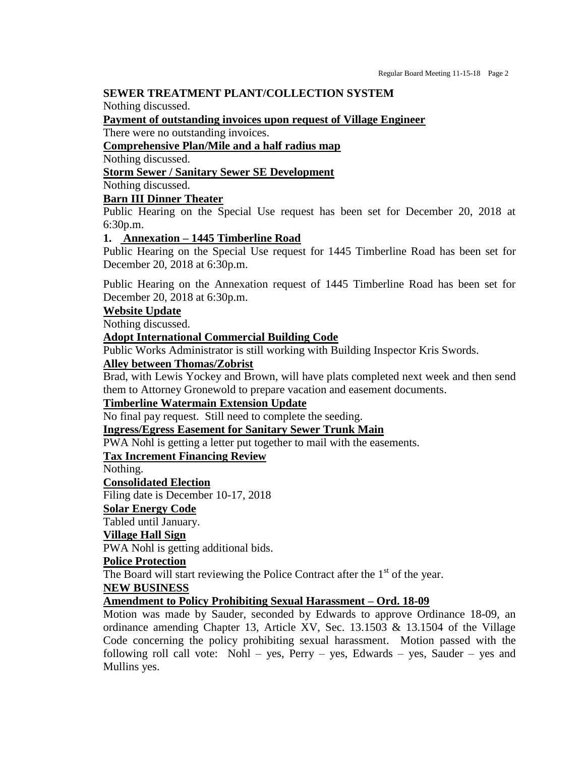#### **SEWER TREATMENT PLANT/COLLECTION SYSTEM**

Nothing discussed.

**Payment of outstanding invoices upon request of Village Engineer**

There were no outstanding invoices.

#### **Comprehensive Plan/Mile and a half radius map**

Nothing discussed.

#### **Storm Sewer / Sanitary Sewer SE Development**

Nothing discussed.

#### **Barn III Dinner Theater**

Public Hearing on the Special Use request has been set for December 20, 2018 at 6:30p.m.

#### **1. Annexation – 1445 Timberline Road**

Public Hearing on the Special Use request for 1445 Timberline Road has been set for December 20, 2018 at 6:30p.m.

Public Hearing on the Annexation request of 1445 Timberline Road has been set for December 20, 2018 at 6:30p.m.

## **Website Update**

Nothing discussed.

#### **Adopt International Commercial Building Code**

Public Works Administrator is still working with Building Inspector Kris Swords.

#### **Alley between Thomas/Zobrist**

Brad, with Lewis Yockey and Brown, will have plats completed next week and then send them to Attorney Gronewold to prepare vacation and easement documents.

#### **Timberline Watermain Extension Update**

No final pay request. Still need to complete the seeding.

#### **Ingress/Egress Easement for Sanitary Sewer Trunk Main**

PWA Nohl is getting a letter put together to mail with the easements.

## **Tax Increment Financing Review**

Nothing.

## **Consolidated Election**

Filing date is December 10-17, 2018

# **Solar Energy Code**

Tabled until January.

## **Village Hall Sign**

PWA Nohl is getting additional bids.

## **Police Protection**

The Board will start reviewing the Police Contract after the  $1<sup>st</sup>$  of the year.

#### **NEW BUSINESS**

## **Amendment to Policy Prohibiting Sexual Harassment – Ord. 18-09**

Motion was made by Sauder, seconded by Edwards to approve Ordinance 18-09, an ordinance amending Chapter 13, Article XV, Sec. 13.1503 & 13.1504 of the Village Code concerning the policy prohibiting sexual harassment. Motion passed with the following roll call vote: Nohl – yes, Perry – yes, Edwards – yes, Sauder – yes and Mullins yes.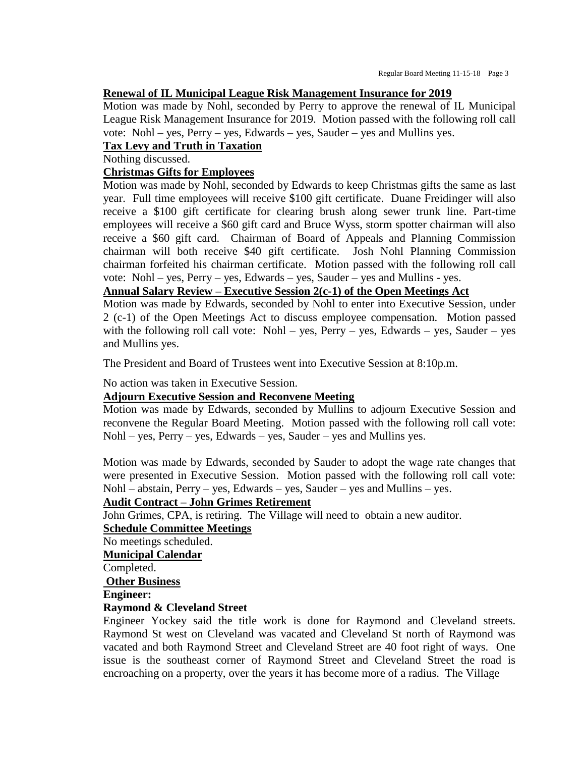#### **Renewal of IL Municipal League Risk Management Insurance for 2019**

Motion was made by Nohl, seconded by Perry to approve the renewal of IL Municipal League Risk Management Insurance for 2019. Motion passed with the following roll call vote: Nohl – yes, Perry – yes, Edwards – yes, Sauder – yes and Mullins yes.

# **Tax Levy and Truth in Taxation**

Nothing discussed.

#### **Christmas Gifts for Employees**

Motion was made by Nohl, seconded by Edwards to keep Christmas gifts the same as last year. Full time employees will receive \$100 gift certificate. Duane Freidinger will also receive a \$100 gift certificate for clearing brush along sewer trunk line. Part-time employees will receive a \$60 gift card and Bruce Wyss, storm spotter chairman will also receive a \$60 gift card. Chairman of Board of Appeals and Planning Commission chairman will both receive \$40 gift certificate. Josh Nohl Planning Commission chairman forfeited his chairman certificate. Motion passed with the following roll call vote: Nohl – yes, Perry – yes, Edwards – yes, Sauder – yes and Mullins - yes.

#### **Annual Salary Review – Executive Session 2(c-1) of the Open Meetings Act**

Motion was made by Edwards, seconded by Nohl to enter into Executive Session, under 2 (c-1) of the Open Meetings Act to discuss employee compensation. Motion passed with the following roll call vote: Nohl – yes, Perry – yes, Edwards – yes, Sauder – yes and Mullins yes.

The President and Board of Trustees went into Executive Session at 8:10p.m.

No action was taken in Executive Session.

#### **Adjourn Executive Session and Reconvene Meeting**

Motion was made by Edwards, seconded by Mullins to adjourn Executive Session and reconvene the Regular Board Meeting. Motion passed with the following roll call vote: Nohl – yes, Perry – yes, Edwards – yes, Sauder – yes and Mullins yes.

Motion was made by Edwards, seconded by Sauder to adopt the wage rate changes that were presented in Executive Session. Motion passed with the following roll call vote: Nohl – abstain, Perry – yes, Edwards – yes, Sauder – yes and Mullins – yes.

#### **Audit Contract – John Grimes Retirement**

John Grimes, CPA, is retiring. The Village will need to obtain a new auditor.

#### **Schedule Committee Meetings**

No meetings scheduled.

**Municipal Calendar**

Completed.

**Other Business**

#### **Engineer:**

#### **Raymond & Cleveland Street**

Engineer Yockey said the title work is done for Raymond and Cleveland streets. Raymond St west on Cleveland was vacated and Cleveland St north of Raymond was vacated and both Raymond Street and Cleveland Street are 40 foot right of ways. One issue is the southeast corner of Raymond Street and Cleveland Street the road is encroaching on a property, over the years it has become more of a radius. The Village